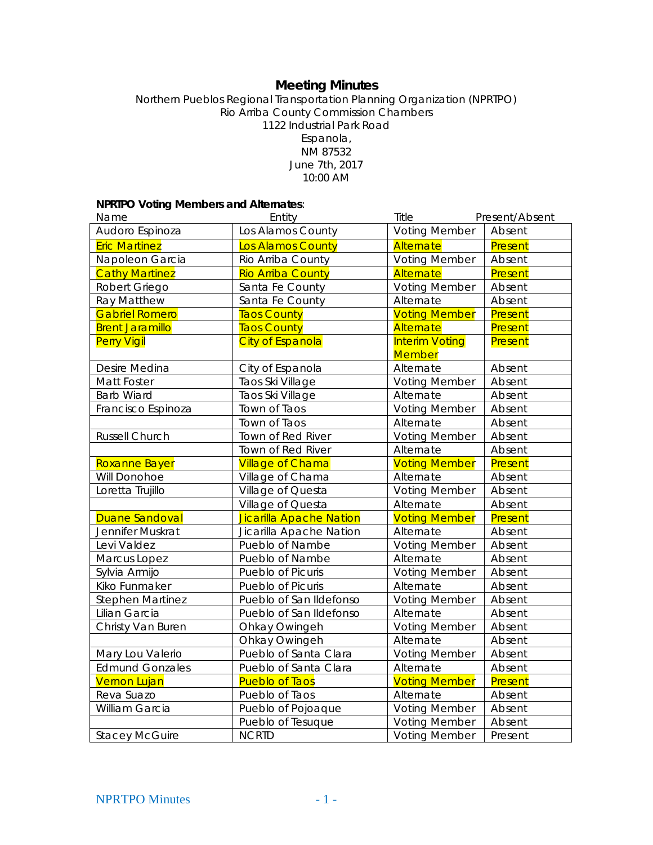# **Meeting Minutes**

#### Northern Pueblos Regional Transportation Planning Organization (NPRTPO) Rio Arriba County Commission Chambers 1122 Industrial Park Road Espanola, NM 87532 June 7th, 2017 10:00 AM

## **NPRTPO Voting Members and Alternates**:

| Name                    | Entity                         | Title                                  | Present/Absent |
|-------------------------|--------------------------------|----------------------------------------|----------------|
| Audoro Espinoza         | Los Alamos County              | <b>Voting Member</b>                   | Absent         |
| <b>Eric Martinez</b>    | <b>Los Alamos County</b>       | Alternate                              | Present        |
| Napoleon Garcia         | Rio Arriba County              | <b>Voting Member</b>                   | Absent         |
| <b>Cathy Martinez</b>   | <b>Rio Arriba County</b>       | Alternate                              | Present        |
| Robert Griego           | Santa Fe County                | <b>Voting Member</b>                   | Absent         |
| Ray Matthew             | Santa Fe County                | Alternate                              | Absent         |
| <b>Gabriel Romero</b>   | <b>Taos County</b>             | <b>Voting Member</b>                   | Present        |
| <b>Brent Jaramillo</b>  | <b>Taos County</b>             | Alternate                              | Present        |
| <b>Perry Vigil</b>      | <b>City of Espanola</b>        | <b>Interim Voting</b><br><b>Member</b> | Present        |
| Desire Medina           | City of Espanola               | Alternate                              | Absent         |
| Matt Foster             | Taos Ski Village               | <b>Voting Member</b>                   | Absent         |
| <b>Barb Wiard</b>       | Taos Ski Village               | Alternate                              | Absent         |
| Francisco Espinoza      | Town of Taos                   | <b>Voting Member</b>                   | Absent         |
|                         | Town of Taos                   | Alternate                              | Absent         |
| Russell Church          | Town of Red River              | <b>Voting Member</b>                   | Absent         |
|                         | Town of Red River              | Alternate                              | Absent         |
| Roxanne Bayer           | <b>Village of Chama</b>        | <b>Voting Member</b>                   | Present        |
| Will Donohoe            | Village of Chama               | Alternate                              | Absent         |
| Loretta Trujillo        | Village of Questa              | <b>Voting Member</b>                   | Absent         |
|                         | Village of Questa              | Alternate                              | Absent         |
| <b>Duane Sandoval</b>   | <b>Jicarilla Apache Nation</b> | <b>Voting Member</b>                   | Present        |
| Jennifer Muskrat        | Jicarilla Apache Nation        | Alternate                              | Absent         |
| Levi Valdez             | Pueblo of Nambe                | <b>Voting Member</b>                   | Absent         |
| Marcus Lopez            | Pueblo of Nambe                | Alternate                              | Absent         |
| Sylvia Armijo           | Pueblo of Picuris              | <b>Voting Member</b>                   | Absent         |
| Kiko Funmaker           | Pueblo of Picuris              | Alternate                              | Absent         |
| <b>Stephen Martinez</b> | Pueblo of San Ildefonso        | <b>Voting Member</b>                   | Absent         |
| Lilian Garcia           | Pueblo of San Ildefonso        | Alternate                              | Absent         |
| Christy Van Buren       | Ohkay Owingeh                  | <b>Voting Member</b>                   | Absent         |
|                         | Ohkay Owingeh                  | Alternate                              | Absent         |
| Mary Lou Valerio        | Pueblo of Santa Clara          | <b>Voting Member</b>                   | Absent         |
| <b>Edmund Gonzales</b>  | Pueblo of Santa Clara          | Alternate                              | Absent         |
| <b>Vernon Lujan</b>     | <b>Pueblo of Taos</b>          | <b>Voting Member</b>                   | Present        |
| Reva Suazo              | Pueblo of Taos                 | Alternate                              | Absent         |
| William Garcia          | Pueblo of Pojoaque             | <b>Voting Member</b>                   | Absent         |
|                         | Pueblo of Tesuque              | <b>Voting Member</b>                   | Absent         |
| <b>Stacey McGuire</b>   | <b>NCRTD</b>                   | <b>Voting Member</b>                   | Present        |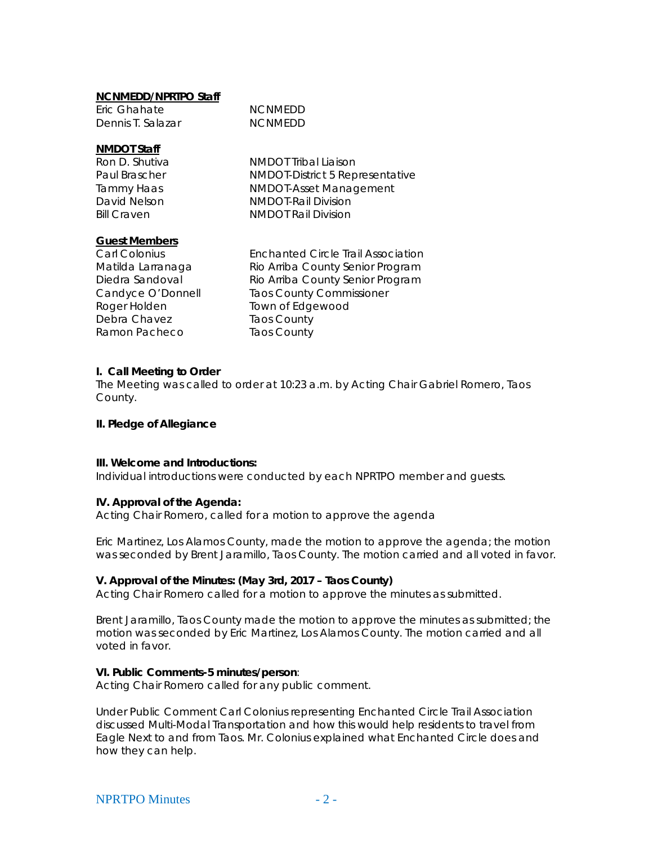#### **NCNMEDD/NPRTPO Staff**

| Eric Ghahate      | <b>NCNMEDD</b> |
|-------------------|----------------|
| Dennis T. Salazar | <b>NCNMEDD</b> |

#### **NMDOT Staff**

Ron D. Shutiva NMDOT Tribal Liaison Paul Brascher NMDOT-District 5 Representative Tammy Haas NMDOT-Asset Management David Nelson NMDOT-Rail Division Bill Craven **NMDOT** Rail Division

#### **Guest Members**

Debra Chavez Taos County Ramon Pacheco Taos County

Carl Colonius Enchanted Circle Trail Association Matilda Larranaga Rio Arriba County Senior Program Diedra Sandoval Rio Arriba County Senior Program Candyce O'Donnell Taos County Commissioner<br>
Roger Holden Town of Edgewood Town of Edgewood

#### **I. Call Meeting to Order**

The Meeting was called to order at 10:23 a.m. by Acting Chair Gabriel Romero, Taos County.

#### **II. Pledge of Allegiance**

#### **III. Welcome and Introductions:**

Individual introductions were conducted by each NPRTPO member and guests.

#### **IV. Approval of the Agenda:**

Acting Chair Romero, called for a motion to approve the agenda

Eric Martinez, Los Alamos County, made the motion to approve the agenda; the motion was seconded by Brent Jaramillo, Taos County. The motion carried and all voted in favor.

#### **V. Approval of the Minutes: (May 3rd, 2017 – Taos County)**

Acting Chair Romero called for a motion to approve the minutes as submitted.

Brent Jaramillo, Taos County made the motion to approve the minutes as submitted; the motion was seconded by Eric Martinez, Los Alamos County. The motion carried and all voted in favor.

#### **VI. Public Comments-5 minutes/person**:

Acting Chair Romero called for any public comment.

Under Public Comment Carl Colonius representing Enchanted Circle Trail Association discussed Multi-Modal Transportation and how this would help residents to travel from Eagle Next to and from Taos. Mr. Colonius explained what Enchanted Circle does and how they can help.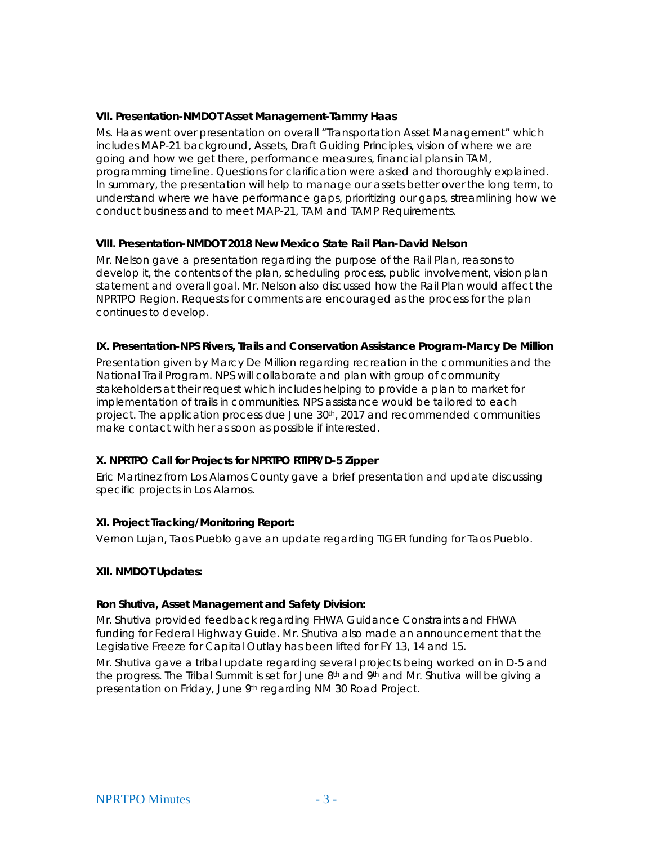### **VII. Presentation-NMDOT Asset Management-Tammy Haas**

Ms. Haas went over presentation on overall "Transportation Asset Management" which includes MAP-21 background, Assets, Draft Guiding Principles, vision of where we are going and how we get there, performance measures, financial plans in TAM, programming timeline. Questions for clarification were asked and thoroughly explained. In summary, the presentation will help to manage our assets better over the long term, to understand where we have performance gaps, prioritizing our gaps, streamlining how we conduct business and to meet MAP-21, TAM and TAMP Requirements.

## **VIII. Presentation-NMDOT 2018 New Mexico State Rail Plan-David Nelson**

Mr. Nelson gave a presentation regarding the purpose of the Rail Plan, reasons to develop it, the contents of the plan, scheduling process, public involvement, vision plan statement and overall goal. Mr. Nelson also discussed how the Rail Plan would affect the NPRTPO Region. Requests for comments are encouraged as the process for the plan continues to develop.

## **IX. Presentation-NPS Rivers, Trails and Conservation Assistance Program-Marcy De Million**

Presentation given by Marcy De Million regarding recreation in the communities and the National Trail Program. NPS will collaborate and plan with group of community stakeholders at their request which includes helping to provide a plan to market for implementation of trails in communities. NPS assistance would be tailored to each project. The application process due June  $30<sup>th</sup>$ , 2017 and recommended communities make contact with her as soon as possible if interested.

## **X. NPRTPO Call for Projects for NPRTPO RTIPR/D-5 Zipper**

Eric Martinez from Los Alamos County gave a brief presentation and update discussing specific projects in Los Alamos.

## **XI. Project Tracking/Monitoring Report:**

Vernon Lujan, Taos Pueblo gave an update regarding TIGER funding for Taos Pueblo.

#### **XII. NMDOT Updates:**

#### **Ron Shutiva, Asset Management and Safety Division:**

Mr. Shutiva provided feedback regarding FHWA Guidance Constraints and FHWA funding for Federal Highway Guide. Mr. Shutiva also made an announcement that the Legislative Freeze for Capital Outlay has been lifted for FY 13, 14 and 15.

Mr. Shutiva gave a tribal update regarding several projects being worked on in D-5 and the progress. The Tribal Summit is set for June 8<sup>th</sup> and 9<sup>th</sup> and Mr. Shutiva will be giving a presentation on Friday, June 9th regarding NM 30 Road Project.